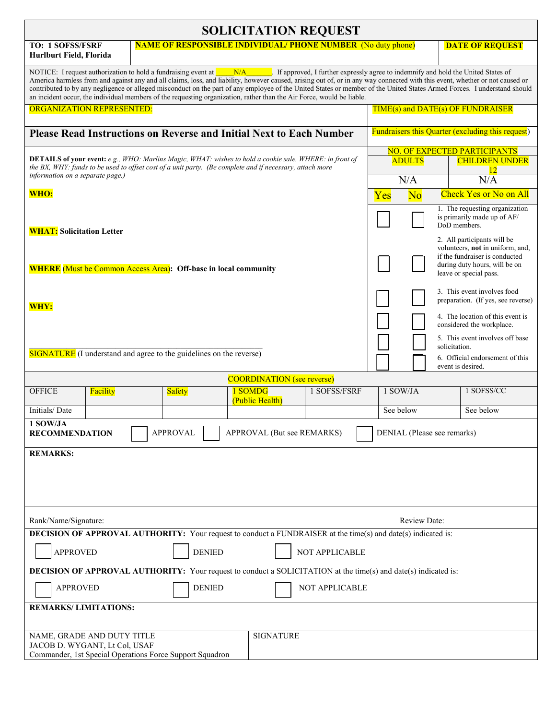| <b>SOLICITATION REQUEST</b>                                                                                                                                                                                                                                                                                                                                                                                                                                                                                                                                                                                                                                 |  |               |         |                 |              |  |                                                   |               |                                                                                                                                                                       |  |
|-------------------------------------------------------------------------------------------------------------------------------------------------------------------------------------------------------------------------------------------------------------------------------------------------------------------------------------------------------------------------------------------------------------------------------------------------------------------------------------------------------------------------------------------------------------------------------------------------------------------------------------------------------------|--|---------------|---------|-----------------|--------------|--|---------------------------------------------------|---------------|-----------------------------------------------------------------------------------------------------------------------------------------------------------------------|--|
| <b>TO: 1 SOFSS/FSRF</b><br><b>NAME OF RESPONSIBLE INDIVIDUAL/ PHONE NUMBER</b> (No duty phone)<br>Hurlburt Field, Florida                                                                                                                                                                                                                                                                                                                                                                                                                                                                                                                                   |  |               |         |                 |              |  |                                                   |               | <b>DATE OF REQUEST</b>                                                                                                                                                |  |
| NOTICE: I request authorization to hold a fundraising event at $\blacksquare$<br>N/A If approved, I further expressly agree to indemnify and hold the United States of<br>America harmless from and against any and all claims, loss, and liability, however caused, arising out of, or in any way connected with this event, whether or not caused or<br>contributed to by any negligence or alleged misconduct on the part of any employee of the United States or member of the United States Armed Forces. I understand should<br>an incident occur, the individual members of the requesting organization, rather than the Air Force, would be liable. |  |               |         |                 |              |  |                                                   |               |                                                                                                                                                                       |  |
| ORGANIZATION REPRESENTED:                                                                                                                                                                                                                                                                                                                                                                                                                                                                                                                                                                                                                                   |  |               |         |                 |              |  | TIME(s) and DATE(s) OF FUNDRAISER                 |               |                                                                                                                                                                       |  |
| <b>Please Read Instructions on Reverse and Initial Next to Each Number</b>                                                                                                                                                                                                                                                                                                                                                                                                                                                                                                                                                                                  |  |               |         |                 |              |  | Fundraisers this Quarter (excluding this request) |               |                                                                                                                                                                       |  |
| <b>DETAILS of your event:</b> e.g., WHO: Marlins Magic, WHAT: wishes to hold a cookie sale, WHERE: in front of<br>the BX, WHY: funds to be used to offset cost of a unit party. (Be complete and if necessary, attach more<br>information on a separate page.)                                                                                                                                                                                                                                                                                                                                                                                              |  |               |         |                 |              |  | <b>ADULTS</b><br>N/A                              |               | <b>NO. OF EXPECTED PARTICIPANTS</b><br><b>CHILDREN UNDER</b><br>12<br>N/A                                                                                             |  |
| WHO:                                                                                                                                                                                                                                                                                                                                                                                                                                                                                                                                                                                                                                                        |  |               |         |                 |              |  | N <sub>o</sub><br>Yes                             |               | <b>Check Yes or No on All</b>                                                                                                                                         |  |
| <b>WHAT:</b> Solicitation Letter                                                                                                                                                                                                                                                                                                                                                                                                                                                                                                                                                                                                                            |  |               |         |                 |              |  |                                                   |               | 1. The requesting organization<br>is primarily made up of AF/<br>DoD members.                                                                                         |  |
| <b>WHERE</b> (Must be Common Access Area): Off-base in local community                                                                                                                                                                                                                                                                                                                                                                                                                                                                                                                                                                                      |  |               |         |                 |              |  |                                                   |               | 2. All participants will be<br>volunteers, not in uniform, and.<br>if the fundraiser is conducted<br>during duty hours, will be on<br>leave or special pass.          |  |
| WHY:                                                                                                                                                                                                                                                                                                                                                                                                                                                                                                                                                                                                                                                        |  |               |         |                 |              |  |                                                   | solicitation. | 3. This event involves food<br>preparation. (If yes, see reverse)<br>4. The location of this event is<br>considered the workplace.<br>5. This event involves off base |  |
| <b>SIGNATURE</b> (I understand and agree to the guidelines on the reverse)                                                                                                                                                                                                                                                                                                                                                                                                                                                                                                                                                                                  |  |               |         |                 |              |  |                                                   |               | 6. Official endorsement of this<br>event is desired.                                                                                                                  |  |
| <b>COORDINATION</b> (see reverse)                                                                                                                                                                                                                                                                                                                                                                                                                                                                                                                                                                                                                           |  |               |         |                 |              |  |                                                   |               |                                                                                                                                                                       |  |
| <b>OFFICE</b><br>Facility                                                                                                                                                                                                                                                                                                                                                                                                                                                                                                                                                                                                                                   |  | <b>Safety</b> | 1 SOMDG | (Public Health) | 1 SOFSS/FSRF |  | 1 SOW/JA<br>1 SOFSS/CC                            |               |                                                                                                                                                                       |  |
| Initials/Date                                                                                                                                                                                                                                                                                                                                                                                                                                                                                                                                                                                                                                               |  |               |         |                 |              |  | See below                                         |               | See below                                                                                                                                                             |  |
| 1 SOW/JA<br><b>APPROVAL</b><br>APPROVAL (But see REMARKS)<br>DENIAL (Please see remarks)<br><b>RECOMMENDATION</b>                                                                                                                                                                                                                                                                                                                                                                                                                                                                                                                                           |  |               |         |                 |              |  |                                                   |               |                                                                                                                                                                       |  |
| <b>REMARKS:</b>                                                                                                                                                                                                                                                                                                                                                                                                                                                                                                                                                                                                                                             |  |               |         |                 |              |  |                                                   |               |                                                                                                                                                                       |  |
| Rank/Name/Signature:<br><b>Review Date:</b>                                                                                                                                                                                                                                                                                                                                                                                                                                                                                                                                                                                                                 |  |               |         |                 |              |  |                                                   |               |                                                                                                                                                                       |  |
| DECISION OF APPROVAL AUTHORITY: Your request to conduct a FUNDRAISER at the time(s) and date(s) indicated is:                                                                                                                                                                                                                                                                                                                                                                                                                                                                                                                                               |  |               |         |                 |              |  |                                                   |               |                                                                                                                                                                       |  |
| <b>APPROVED</b><br><b>DENIED</b><br>NOT APPLICABLE                                                                                                                                                                                                                                                                                                                                                                                                                                                                                                                                                                                                          |  |               |         |                 |              |  |                                                   |               |                                                                                                                                                                       |  |
| <b>DECISION OF APPROVAL AUTHORITY:</b> Your request to conduct a SOLICITATION at the time(s) and date(s) indicated is:                                                                                                                                                                                                                                                                                                                                                                                                                                                                                                                                      |  |               |         |                 |              |  |                                                   |               |                                                                                                                                                                       |  |
| <b>DENIED</b><br><b>APPROVED</b><br>NOT APPLICABLE                                                                                                                                                                                                                                                                                                                                                                                                                                                                                                                                                                                                          |  |               |         |                 |              |  |                                                   |               |                                                                                                                                                                       |  |
| <b>REMARKS/LIMITATIONS:</b>                                                                                                                                                                                                                                                                                                                                                                                                                                                                                                                                                                                                                                 |  |               |         |                 |              |  |                                                   |               |                                                                                                                                                                       |  |
| NAME, GRADE AND DUTY TITLE<br><b>SIGNATURE</b><br>JACOB D. WYGANT, Lt Col, USAF<br>Commander, 1st Special Operations Force Support Squadron                                                                                                                                                                                                                                                                                                                                                                                                                                                                                                                 |  |               |         |                 |              |  |                                                   |               |                                                                                                                                                                       |  |